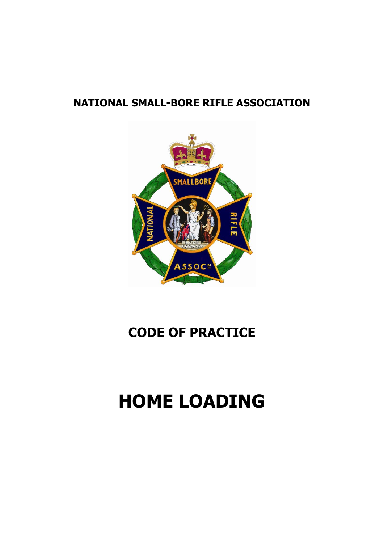### **NATIONAL SMALL-BORE RIFLE ASSOCIATION**



## **CODE OF PRACTICE**

# **HOME LOADING**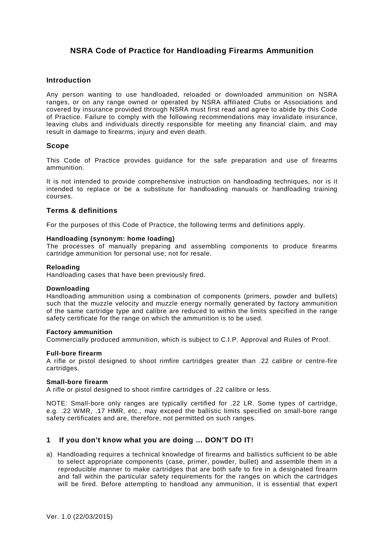#### **NSRA Code of Practice for Handloading Firearms Ammunition**

#### **Introduction**

Any person wanting to use handloaded, reloaded or downloaded ammunition on NSRA ranges, or on any range owned or operated by NSRA affiliated Clubs or Associations and covered by insurance provided through NSRA must first read and agree to abide by this Code of Practice. Failure to comply with the following recommendations may invalidate insurance, leaving clubs and individuals directly responsible for meeting any financial claim, and may result in damage to firearms, injury and even death.

#### **Scope**

This Code of Practice provides guidance for the safe preparation and use of firearms ammunition.

It is not intended to provide comprehensive instruction on handloading techniques, nor is it intended to replace or be a substitute for handloading manuals or handloading training courses.

#### **Terms & definitions**

For the purposes of this Code of Practice, the following terms and definitions apply.

#### **Handloading (synonym: home loading)**

The processes of manually preparing and assembling components to produce firearms cartridge ammunition for personal use; not for resale.

#### **Reloading**

Handloading cases that have been previously fired.

#### **Downloading**

Handloading ammunition using a combination of components (primers, powder and bullets) such that the muzzle velocity and muzzle energy normally generated by factory ammunition of the same cartridge type and calibre are reduced to within the limits specified in the range safety certificate for the range on which the ammunition is to be used.

#### **Factory ammunition**

Commercially produced ammunition, which is subject to C.I.P. Approval and Rules of Proof.

#### **Full-bore firearm**

A rifle or pistol designed to shoot rimfire cartridges greater than .22 calibre or centre-fire cartridges.

#### **Small-bore firearm**

A rifle or pistol designed to shoot rimfire cartridges of .22 calibre or less.

NOTE: Small-bore only ranges are typically certified for .22 LR. Some types of cartridge, e.g. .22 WMR, .17 HMR, etc., may exceed the ballistic limits specified on small-bore range safety certificates and are, therefore, not permitted on such ranges.

#### **1 If you don't know what you are doing … DON'T DO IT!**

a) Handloading requires a technical knowledge of firearms and ballistics sufficient to be able to select appropriate components (case, primer, powder, bullet) and assemble them in a reproducible manner to make cartridges that are both safe to fire in a designated firearm and fall within the particular safety requirements for the ranges on which the cartridges will be fired. Before attempting to handload any ammunition, it is essential that expert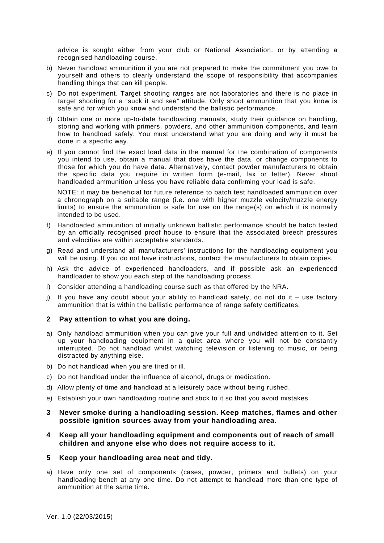advice is sought either from your club or National Association, or by attending a recognised handloading course.

- b) Never handload ammunition if you are not prepared to make the commitment you owe to yourself and others to clearly understand the scope of responsibility that accompanies handling things that can kill people.
- c) Do not experiment. Target shooting ranges are not laboratories and there is no place in target shooting for a "suck it and see" attitude. Only shoot ammunition that you know is safe and for which you know and understand the ballistic performance.
- d) Obtain one or more up-to-date handloading manuals, study their guidance on handling, storing and working with primers, powders, and other ammunition components, and learn how to handload safely. You must understand what you are doing and why it must be done in a specific way.
- e) If you cannot find the exact load data in the manual for the combination of components you intend to use, obtain a manual that does have the data, or change components to those for which you do have data. Alternatively, contact powder manufacturers to obtain the specific data you require in written form (e-mail, fax or letter). Never shoot handloaded ammunition unless you have reliable data confirming your load is safe.

NOTE: it may be beneficial for future reference to batch test handloaded ammunition over a chronograph on a suitable range (i.e. one with higher muzzle velocity/muzzle energy limits) to ensure the ammunition is safe for use on the range(s) on which it is normally intended to be used.

- f) Handloaded ammunition of initially unknown ballistic performance should be batch tested by an officially recognised proof house to ensure that the associated breech pressures and velocities are within acceptable standards.
- g) Read and understand all manufacturers' instructions for the handloading equipment you will be using. If you do not have instructions, contact the manufacturers to obtain copies.
- h) Ask the advice of experienced handloaders, and if possible ask an experienced handloader to show you each step of the handloading process.
- i) Consider attending a handloading course such as that offered by the NRA.
- j) If you have any doubt about your ability to handload safely, do not do it use factory ammunition that is within the ballistic performance of range safety certificates.

#### **2 Pay attention to what you are doing.**

- a) Only handload ammunition when you can give your full and undivided attention to it. Set up your handloading equipment in a quiet area where you will not be constantly interrupted. Do not handload whilst watching television or listening to music, or being distracted by anything else.
- b) Do not handload when you are tired or ill.
- c) Do not handload under the influence of alcohol, drugs or medication.
- d) Allow plenty of time and handload at a leisurely pace without being rushed.
- e) Establish your own handloading routine and stick to it so that you avoid mistakes.

#### **3 Never smoke during a handloading session. Keep matches, flames and other possible ignition sources away from your handloading area.**

#### **4 Keep all your handloading equipment and components out of reach of small children and anyone else who does not require access to it.**

#### **5 Keep your handloading area neat and tidy.**

a) Have only one set of components (cases, powder, primers and bullets) on your handloading bench at any one time. Do not attempt to handload more than one type of ammunition at the same time.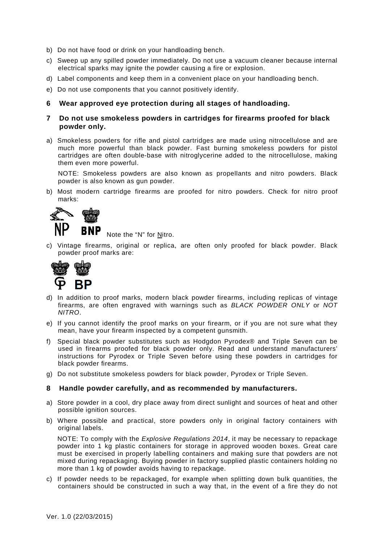- b) Do not have food or drink on your handloading bench.
- c) Sweep up any spilled powder immediately. Do not use a vacuum cleaner because internal electrical sparks may ignite the powder causing a fire or explosion.
- d) Label components and keep them in a convenient place on your handloading bench.
- e) Do not use components that you cannot positively identify.

#### **6 Wear approved eye protection during all stages of handloading.**

- **7 Do not use smokeless powders in cartridges for firearms proofed for black powder only.**
- a) Smokeless powders for rifle and pistol cartridges are made using nitrocellulose and are much more powerful than black powder. Fast burning smokeless powders for pistol cartridges are often double-base with nitroglycerine added to the nitrocellulose, making them even more powerful.

NOTE: Smokeless powders are also known as propellants and nitro powders. Black powder is also known as gun powder.

b) Most modern cartridge firearms are proofed for nitro powders. Check for nitro proof marks:



Note the "N" for Nitro.

c) Vintage firearms, original or replica, are often only proofed for black powder. Black powder proof marks are:



- d) In addition to proof marks, modern black powder firearms, including replicas of vintage firearms, are often engraved with warnings such as *BLACK POWDER ONLY* or *NOT NITRO*.
- e) If you cannot identify the proof marks on your firearm, or if you are not sure what they mean, have your firearm inspected by a competent gunsmith.
- f) Special black powder substitutes such as Hodgdon Pyrodex® and Triple Seven can be used in firearms proofed for black powder only. Read and understand manufacturers' instructions for Pyrodex or Triple Seven before using these powders in cartridges for black powder firearms.
- g) Do not substitute smokeless powders for black powder, Pyrodex or Triple Seven.

#### **8 Handle powder carefully, and as recommended by manufacturers.**

- a) Store powder in a cool, dry place away from direct sunlight and sources of heat and other possible ignition sources.
- b) Where possible and practical, store powders only in original factory containers with original labels.

NOTE: To comply with the *Explosive Regulations 2014*, it may be necessary to repackage powder into 1 kg plastic containers for storage in approved wooden boxes. Great care must be exercised in properly labelling containers and making sure that powders are not mixed during repackaging. Buying powder in factory supplied plastic containers holding no more than 1 kg of powder avoids having to repackage.

c) If powder needs to be repackaged, for example when splitting down bulk quantities, the containers should be constructed in such a way that, in the event of a fire they do not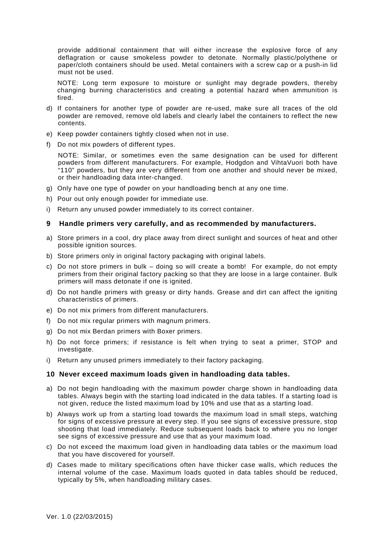provide additional containment that will either increase the explosive force of any deflagration or cause smokeless powder to detonate. Normally plastic/polythene or paper/cloth containers should be used. Metal containers with a screw cap or a push-in lid must not be used.

NOTE: Long term exposure to moisture or sunlight may degrade powders, thereby changing burning characteristics and creating a potential hazard when ammunition is fired.

- d) If containers for another type of powder are re-used, make sure all traces of the old powder are removed, remove old labels and clearly label the containers to reflect the new contents.
- e) Keep powder containers tightly closed when not in use.
- f) Do not mix powders of different types.

NOTE: Similar, or sometimes even the same designation can be used for different powders from different manufacturers. For example, Hodgdon and VihtaVuori both have "110" powders, but they are very different from one another and should never be mixed, or their handloading data inter-changed.

- g) Only have one type of powder on your handloading bench at any one time.
- h) Pour out only enough powder for immediate use.
- i) Return any unused powder immediately to its correct container.

#### **9 Handle primers very carefully, and as recommended by manufacturers.**

- a) Store primers in a cool, dry place away from direct sunlight and sources of heat and other possible ignition sources.
- b) Store primers only in original factory packaging with original labels.
- c) Do not store primers in bulk doing so will create a bomb! For example, do not empty primers from their original factory packing so that they are loose in a large container. Bulk primers will mass detonate if one is ignited.
- d) Do not handle primers with greasy or dirty hands. Grease and dirt can affect the igniting characteristics of primers.
- e) Do not mix primers from different manufacturers.
- f) Do not mix regular primers with magnum primers.
- g) Do not mix Berdan primers with Boxer primers.
- h) Do not force primers; if resistance is felt when trying to seat a primer, STOP and investigate.
- i) Return any unused primers immediately to their factory packaging.

#### **10 Never exceed maximum loads given in handloading data tables.**

- a) Do not begin handloading with the maximum powder charge shown in handloading data tables. Always begin with the starting load indicated in the data tables. If a starting load is not given, reduce the listed maximum load by 10% and use that as a starting load.
- b) Always work up from a starting load towards the maximum load in small steps, watching for signs of excessive pressure at every step. If you see signs of excessive pressure, stop shooting that load immediately. Reduce subsequent loads back to where you no longer see signs of excessive pressure and use that as your maximum load.
- c) Do not exceed the maximum load given in handloading data tables or the maximum load that you have discovered for yourself.
- d) Cases made to military specifications often have thicker case walls, which reduces the internal volume of the case. Maximum loads quoted in data tables should be reduced, typically by 5%, when handloading military cases.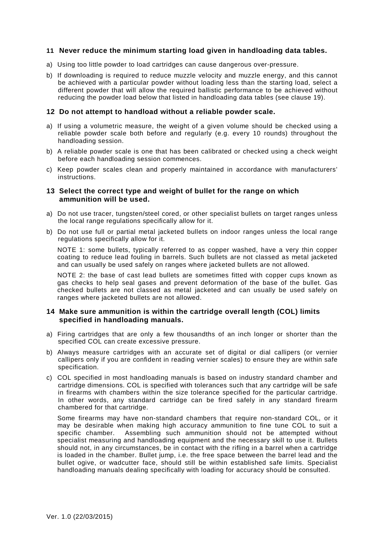#### **11 Never reduce the minimum starting load given in handloading data tables.**

- a) Using too little powder to load cartridges can cause dangerous over-pressure.
- b) If downloading is required to reduce muzzle velocity and muzzle energy, and this cannot be achieved with a particular powder without loading less than the starting load, select a different powder that will allow the required ballistic performance to be achieved without reducing the powder load below that listed in handloading data tables (see clause 19).

#### **12 Do not attempt to handload without a reliable powder scale.**

- a) If using a volumetric measure, the weight of a given volume should be checked using a reliable powder scale both before and regularly (e.g. every 10 rounds) throughout the handloading session.
- b) A reliable powder scale is one that has been calibrated or checked using a check weight before each handloading session commences.
- c) Keep powder scales clean and properly maintained in accordance with manufacturers' instructions.

#### **13 Select the correct type and weight of bullet for the range on which ammunition will be used.**

- a) Do not use tracer, tungsten/steel cored, or other specialist bullets on target ranges unless the local range regulations specifically allow for it.
- b) Do not use full or partial metal jacketed bullets on indoor ranges unless the local range regulations specifically allow for it.

NOTE 1: some bullets, typically referred to as copper washed, have a very thin copper coating to reduce lead fouling in barrels. Such bullets are not classed as metal jacketed and can usually be used safely on ranges where jacketed bullets are not allowed.

NOTE 2: the base of cast lead bullets are sometimes fitted with copper cups known as gas checks to help seal gases and prevent deformation of the base of the bullet. Gas checked bullets are not classed as metal jacketed and can usually be used safely on ranges where jacketed bullets are not allowed.

#### **14 Make sure ammunition is within the cartridge overall length (COL) limits specified in handloading manuals.**

- a) Firing cartridges that are only a few thousandths of an inch longer or shorter than the specified COL can create excessive pressure.
- b) Always measure cartridges with an accurate set of digital or dial callipers (or vernier callipers only if you are confident in reading vernier scales) to ensure they are within safe specification.
- c) COL specified in most handloading manuals is based on industry standard chamber and cartridge dimensions. COL is specified with tolerances such that any cartridge will be safe in firearms with chambers within the size tolerance specified for the particular cartridge. In other words, any standard cartridge can be fired safely in any standard firearm chambered for that cartridge.

Some firearms may have non-standard chambers that require non-standard COL, or it may be desirable when making high accuracy ammunition to fine tune COL to suit a specific chamber. Assembling such ammunition should not be attempted without specialist measuring and handloading equipment and the necessary skill to use it. Bullets should not, in any circumstances, be in contact with the rifling in a barrel when a cartridge is loaded in the chamber. Bullet jump, i.e. the free space between the barrel lead and the bullet ogive, or wadcutter face, should still be within established safe limits. Specialist handloading manuals dealing specifically with loading for accuracy should be consulted.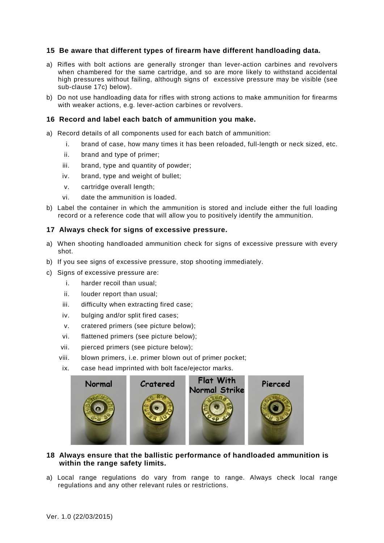#### **15 Be aware that different types of firearm have different handloading data.**

- a) Rifles with bolt actions are generally stronger than lever-action carbines and revolvers when chambered for the same cartridge, and so are more likely to withstand accidental high pressures without failing, although signs of excessive pressure may be visible (see sub-clause 17c) below).
- b) Do not use handloading data for rifles with strong actions to make ammunition for firearms with weaker actions, e.g. lever-action carbines or revolvers.

#### **16 Record and label each batch of ammunition you make.**

- a) Record details of all components used for each batch of ammunition:
	- i. brand of case, how many times it has been reloaded, full-length or neck sized, etc.
	- ii. brand and type of primer;
	- iii. brand, type and quantity of powder;
	- iv. brand, type and weight of bullet;
	- v. cartridge overall length;
	- vi. date the ammunition is loaded.
- b) Label the container in which the ammunition is stored and include either the full loading record or a reference code that will allow you to positively identify the ammunition.

#### **17 Always check for signs of excessive pressure.**

- a) When shooting handloaded ammunition check for signs of excessive pressure with every shot.
- b) If you see signs of excessive pressure, stop shooting immediately.
- c) Signs of excessive pressure are:
	- i. harder recoil than usual;
	- ii. louder report than usual;
	- iii. difficulty when extracting fired case;
	- iv. bulging and/or split fired cases;
	- v. cratered primers (see picture below);
	- vi. flattened primers (see picture below);
	- vii. pierced primers (see picture below);
	- viii. blown primers, i.e. primer blown out of primer pocket;
	- ix. case head imprinted with bolt face/ejector marks.



#### **18 Always ensure that the ballistic performance of handloaded ammunition is within the range safety limits.**

a) Local range regulations do vary from range to range. Always check local range regulations and any other relevant rules or restrictions.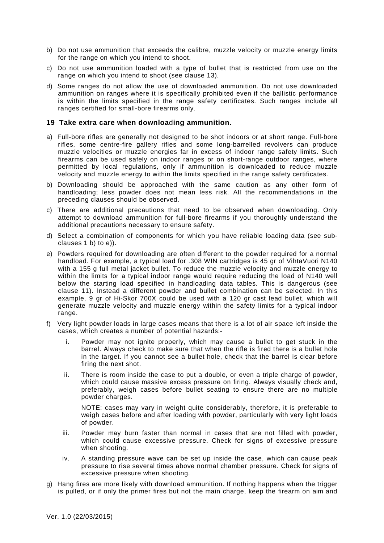- b) Do not use ammunition that exceeds the calibre, muzzle velocity or muzzle energy limits for the range on which you intend to shoot.
- c) Do not use ammunition loaded with a type of bullet that is restricted from use on the range on which you intend to shoot (see clause 13).
- d) Some ranges do not allow the use of downloaded ammunition. Do not use downloaded ammunition on ranges where it is specifically prohibited even if the ballistic performance is within the limits specified in the range safety certificates. Such ranges include all ranges certified for small-bore firearms only.

#### **19 Take extra care when downloa**d**ing ammunition.**

- a) Full-bore rifles are generally not designed to be shot indoors or at short range. Full-bore rifles, some centre-fire gallery rifles and some long-barrelled revolvers can produce muzzle velocities or muzzle energies far in excess of indoor range safety limits. Such firearms can be used safely on indoor ranges or on short-range outdoor ranges, where permitted by local regulations, only if ammunition is downloaded to reduce muzzle velocity and muzzle energy to within the limits specified in the range safety certificates.
- b) Downloading should be approached with the same caution as any other form of handloading; less powder does not mean less risk. All the recommendations in the preceding clauses should be observed.
- c) There are additional precautions that need to be observed when downloading. Only attempt to download ammunition for full-bore firearms if you thoroughly understand the additional precautions necessary to ensure safety.
- d) Select a combination of components for which you have reliable loading data (see subclauses 1 b) to e)).
- e) Powders required for downloading are often different to the powder required for a normal handload. For example, a typical load for .308 WIN cartridges is 45 gr of VihtaVuori N140 with a 155 g full metal jacket bullet. To reduce the muzzle velocity and muzzle energy to within the limits for a typical indoor range would require reducing the load of N140 well below the starting load specified in handloading data tables. This is dangerous (see clause 11). Instead a different powder and bullet combination can be selected. In this example, 9 gr of Hi-Skor 700X could be used with a 120 gr cast lead bullet, which will generate muzzle velocity and muzzle energy within the safety limits for a typical indoor range.
- f) Very light powder loads in large cases means that there is a lot of air space left inside the cases, which creates a number of potential hazards:-
	- Powder may not ignite properly, which may cause a bullet to get stuck in the barrel. Always check to make sure that when the rifle is fired there is a bullet hole in the target. If you cannot see a bullet hole, check that the barrel is clear before firing the next shot.
	- ii. There is room inside the case to put a double, or even a triple charge of powder, which could cause massive excess pressure on firing. Always visually check and, preferably, weigh cases before bullet seating to ensure there are no multiple powder charges.

NOTE: cases may vary in weight quite considerably, therefore, it is preferable to weigh cases before and after loading with powder, particularly with very light loads of powder.

- iii. Powder may burn faster than normal in cases that are not filled with powder, which could cause excessive pressure. Check for signs of excessive pressure when shooting.
- iv. A standing pressure wave can be set up inside the case, which can cause peak pressure to rise several times above normal chamber pressure. Check for signs of excessive pressure when shooting.
- g) Hang fires are more likely with download ammunition. If nothing happens when the trigger is pulled, or if only the primer fires but not the main charge, keep the firearm on aim and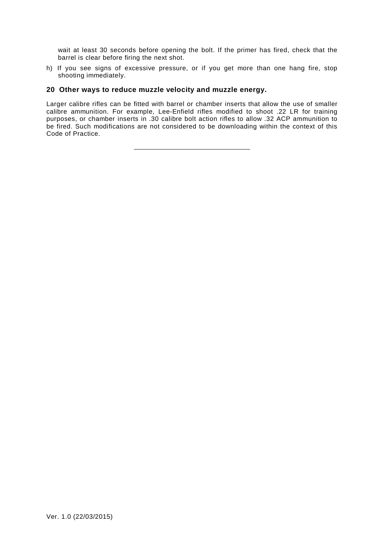wait at least 30 seconds before opening the bolt. If the primer has fired, check that the barrel is clear before firing the next shot.

h) If you see signs of excessive pressure, or if you get more than one hang fire, stop shooting immediately.

#### **20 Other ways to reduce muzzle velocity and muzzle energy.**

Larger calibre rifles can be fitted with barrel or chamber inserts that allow the use of smaller calibre ammunition. For example, Lee-Enfield rifles modified to shoot .22 LR for training purposes, or chamber inserts in .30 calibre bolt action rifles to allow .32 ACP ammunition to be fired. Such modifications are not considered to be downloading within the context of this Code of Practice.